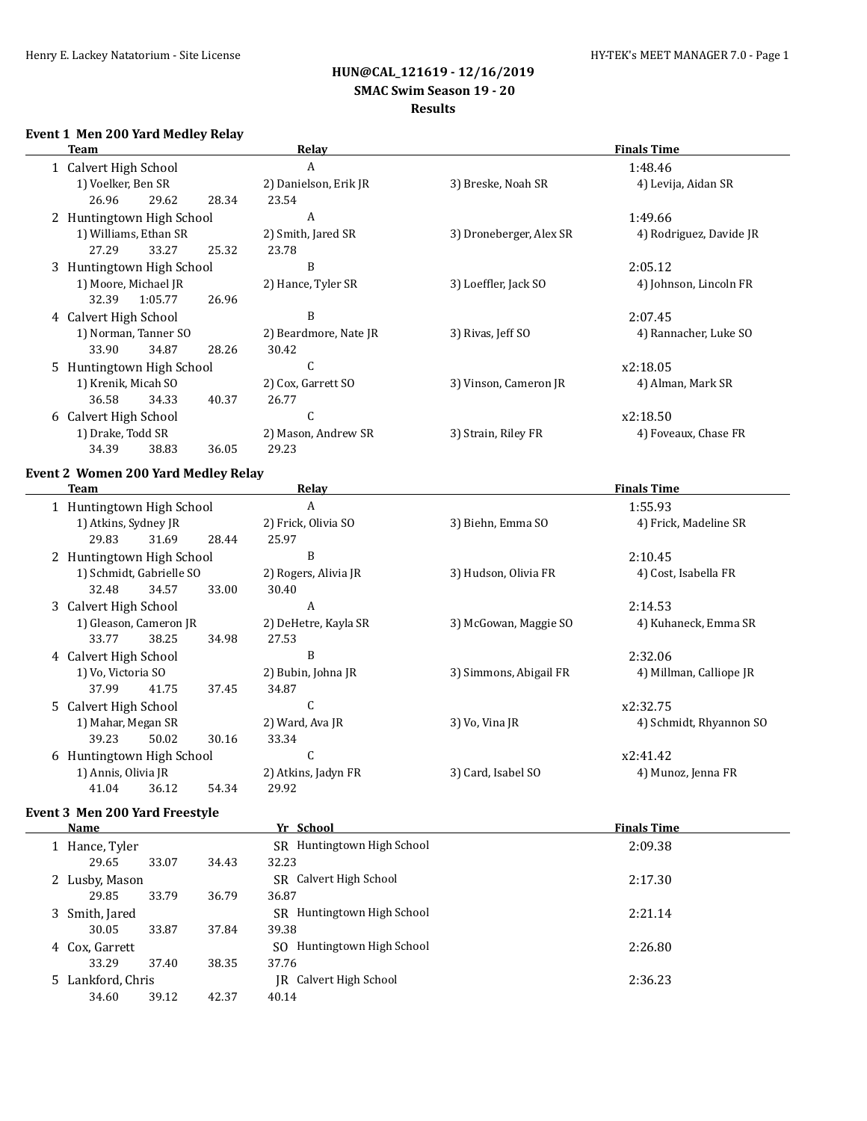# **HUN@CAL\_121619 - 12/16/2019 SMAC Swim Season 19 - 20**

# **Results**

#### **Event 1 Men 200 Yard Medley Relay**

|                       | Team                      |         |       | Relay                 |                         | <b>Finals Time</b>      |
|-----------------------|---------------------------|---------|-------|-----------------------|-------------------------|-------------------------|
| 1 Calvert High School |                           |         |       | A                     |                         | 1:48.46                 |
|                       | 1) Voelker, Ben SR        |         |       | 2) Danielson, Erik JR | 3) Breske, Noah SR      | 4) Levija, Aidan SR     |
|                       | 26.96                     | 29.62   | 28.34 | 23.54                 |                         |                         |
|                       | 2 Huntingtown High School |         |       | A                     |                         | 1:49.66                 |
|                       | 1) Williams, Ethan SR     |         |       | 2) Smith, Jared SR    | 3) Droneberger, Alex SR | 4) Rodriguez, Davide JR |
|                       | 27.29                     | 33.27   | 25.32 | 23.78                 |                         |                         |
|                       | 3 Huntingtown High School |         |       | B                     |                         | 2:05.12                 |
|                       | 1) Moore, Michael JR      |         |       | 2) Hance, Tyler SR    | 3) Loeffler, Jack SO    | 4) Johnson, Lincoln FR  |
|                       | 32.39                     | 1:05.77 | 26.96 |                       |                         |                         |
|                       | 4 Calvert High School     |         |       | B                     |                         | 2:07.45                 |
|                       | 1) Norman, Tanner SO      |         |       | 2) Beardmore, Nate JR | 3) Rivas, Jeff SO       | 4) Rannacher, Luke SO   |
|                       | 33.90                     | 34.87   | 28.26 | 30.42                 |                         |                         |
|                       | 5 Huntingtown High School |         |       | U                     |                         | x2:18.05                |
|                       | 1) Krenik, Micah SO       |         |       | 2) Cox, Garrett SO    | 3) Vinson, Cameron JR   | 4) Alman, Mark SR       |
|                       | 36.58                     | 34.33   | 40.37 | 26.77                 |                         |                         |
|                       | 6 Calvert High School     |         |       | ι.                    |                         | x2:18.50                |
|                       | 1) Drake, Todd SR         |         |       | 2) Mason, Andrew SR   | 3) Strain, Riley FR     | 4) Foveaux, Chase FR    |
|                       | 34.39                     | 38.83   | 36.05 | 29.23                 |                         |                         |
|                       |                           |         |       |                       |                         |                         |

#### **Event 2 Women 200 Yard Medley Relay**

| Team                      |       |       | Relay                | <b>Finals Time</b>     |                         |  |  |
|---------------------------|-------|-------|----------------------|------------------------|-------------------------|--|--|
| 1 Huntingtown High School |       |       | A                    |                        | 1:55.93                 |  |  |
| 1) Atkins, Sydney JR      |       |       | 2) Frick, Olivia SO  | 3) Biehn, Emma SO      | 4) Frick, Madeline SR   |  |  |
| 29.83                     | 31.69 | 28.44 | 25.97                |                        |                         |  |  |
| 2 Huntingtown High School |       |       | B                    |                        | 2:10.45                 |  |  |
| 1) Schmidt, Gabrielle SO  |       |       | 2) Rogers, Alivia JR | 3) Hudson, Olivia FR   | 4) Cost, Isabella FR    |  |  |
| 32.48                     | 34.57 | 33.00 | 30.40                |                        |                         |  |  |
| 3 Calvert High School     |       |       | A                    |                        | 2:14.53                 |  |  |
| 1) Gleason, Cameron JR    |       |       | 2) DeHetre, Kayla SR | 3) McGowan, Maggie SO  | 4) Kuhaneck, Emma SR    |  |  |
| 33.77                     | 38.25 | 34.98 | 27.53                |                        |                         |  |  |
| 4 Calvert High School     |       |       | B                    |                        | 2:32.06                 |  |  |
| 1) Vo. Victoria SO        |       |       | 2) Bubin, Johna JR   | 3) Simmons, Abigail FR | 4) Millman, Calliope JR |  |  |
| 37.99                     | 41.75 | 37.45 | 34.87                |                        |                         |  |  |
| 5 Calvert High School     |       |       | C                    |                        | x2:32.75                |  |  |
| 1) Mahar, Megan SR        |       |       | 2) Ward, Ava JR      | 3) Vo, Vina JR         | 4) Schmidt, Rhyannon SO |  |  |
| 39.23                     | 50.02 | 30.16 | 33.34                |                        |                         |  |  |
| 6 Huntingtown High School |       |       | C                    |                        | x2:41.42                |  |  |
| 1) Annis, Olivia JR       |       |       | 2) Atkins, Jadyn FR  | 3) Card, Isabel SO     | 4) Munoz, Jenna FR      |  |  |
| 41.04                     | 36.12 | 54.34 | 29.92                |                        |                         |  |  |

#### **Event 3 Men 200 Yard Freestyle**

| Name              |       |       | Yr School                      | <b>Finals Time</b> |
|-------------------|-------|-------|--------------------------------|--------------------|
| 1 Hance, Tyler    |       |       | Huntingtown High School<br>SR. | 2:09.38            |
| 29.65             | 33.07 | 34.43 | 32.23                          |                    |
| 2 Lusby, Mason    |       |       | SR Calvert High School         | 2:17.30            |
| 29.85             | 33.79 | 36.79 | 36.87                          |                    |
| 3 Smith, Jared    |       |       | Huntingtown High School<br>SR. | 2:21.14            |
| 30.05             | 33.87 | 37.84 | 39.38                          |                    |
| 4 Cox, Garrett    |       |       | Huntingtown High School<br>SO. | 2:26.80            |
| 33.29             | 37.40 | 38.35 | 37.76                          |                    |
| 5 Lankford, Chris |       |       | Calvert High School<br>IR      | 2:36.23            |
| 34.60             | 39.12 | 42.37 | 40.14                          |                    |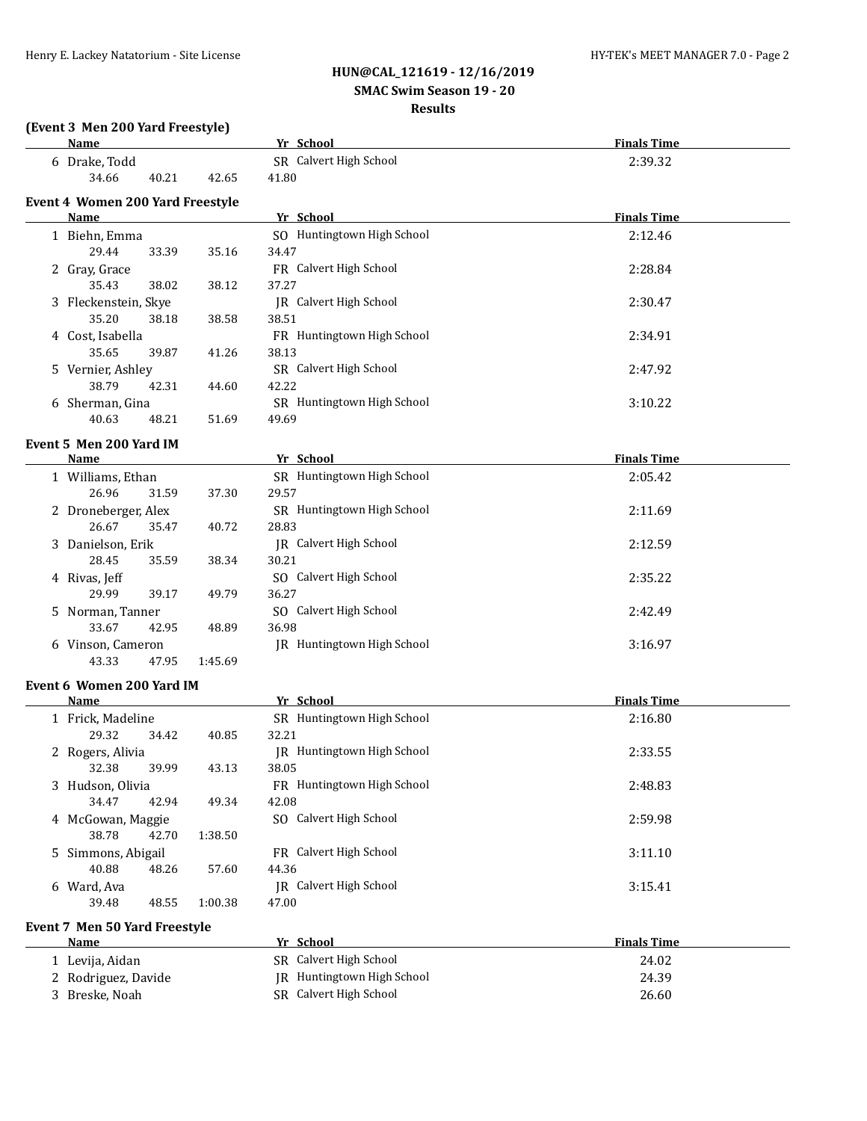# **HUN@CAL\_121619 - 12/16/2019 SMAC Swim Season 19 - 20**

#### **Results**

| <b>Name</b>                             |         | Yr School                     | <b>Finals Time</b> |
|-----------------------------------------|---------|-------------------------------|--------------------|
| 6 Drake, Todd                           |         | SR Calvert High School        | 2:39.32            |
| 40.21<br>34.66                          | 42.65   | 41.80                         |                    |
| <b>Event 4 Women 200 Yard Freestyle</b> |         |                               |                    |
| Name                                    |         | Yr School                     | <b>Finals Time</b> |
| 1 Biehn, Emma                           |         | SO Huntingtown High School    | 2:12.46            |
| 29.44<br>33.39                          | 35.16   | 34.47                         |                    |
| 2 Gray, Grace                           |         | FR Calvert High School        | 2:28.84            |
| 35.43<br>38.02                          | 38.12   | 37.27                         |                    |
| 3 Fleckenstein, Skye                    |         | <b>IR</b> Calvert High School | 2:30.47            |
| 35.20<br>38.18                          | 38.58   | 38.51                         |                    |
| 4 Cost, Isabella                        |         | FR Huntingtown High School    | 2:34.91            |
| 35.65<br>39.87                          | 41.26   | 38.13                         |                    |
| 5 Vernier, Ashley                       |         | SR Calvert High School        | 2:47.92            |
| 38.79<br>42.31                          | 44.60   | 42.22                         |                    |
| 6 Sherman, Gina                         |         | SR Huntingtown High School    | 3:10.22            |
| 40.63<br>48.21                          | 51.69   | 49.69                         |                    |
|                                         |         |                               |                    |
| Event 5 Men 200 Yard IM                 |         |                               |                    |
| <b>Name</b>                             |         | Yr School                     | <b>Finals Time</b> |
| 1 Williams, Ethan                       |         | SR Huntingtown High School    | 2:05.42            |
| 26.96<br>31.59                          | 37.30   | 29.57                         |                    |
| 2 Droneberger, Alex                     |         | SR Huntingtown High School    | 2:11.69            |
| 26.67<br>35.47                          | 40.72   | 28.83                         |                    |
| 3 Danielson, Erik                       |         | IR Calvert High School        | 2:12.59            |
| 28.45<br>35.59                          | 38.34   | 30.21                         |                    |
| 4 Rivas, Jeff                           |         | SO Calvert High School        | 2:35.22            |
| 29.99<br>39.17                          | 49.79   | 36.27                         |                    |
| 5 Norman, Tanner                        |         | SO Calvert High School        | 2:42.49            |
| 33.67<br>42.95                          | 48.89   | 36.98                         |                    |
| 6 Vinson, Cameron                       |         | JR Huntingtown High School    | 3:16.97            |
| 43.33<br>47.95                          | 1:45.69 |                               |                    |
| Event 6 Women 200 Yard IM               |         |                               |                    |
| <u>Name</u>                             |         | Yr School                     | <b>Finals Time</b> |
| 1 Frick, Madeline                       |         | SR Huntingtown High School    | 2:16.80            |
| 29.32<br>34.42                          | 40.85   | 32.21                         |                    |
| 2 Rogers, Alivia                        |         | JR Huntingtown High School    | 2:33.55            |
| 39.99<br>32.38                          | 43.13   | 38.05                         |                    |
| 3 Hudson, Olivia                        |         | FR Huntingtown High School    | 2:48.83            |
| 34.47<br>42.94                          | 49.34   | 42.08                         |                    |
| 4 McGowan, Maggie                       |         | SO Calvert High School        | 2:59.98            |
| 38.78<br>42.70                          | 1:38.50 |                               |                    |
| 5 Simmons, Abigail                      |         | FR Calvert High School        | 3:11.10            |
| 40.88<br>48.26                          | 57.60   | 44.36                         |                    |
| 6 Ward, Ava                             |         | JR Calvert High School        | 3:15.41            |
| 39.48<br>48.55                          | 1:00.38 | 47.00                         |                    |
| Event 7 Men 50 Yard Freestyle           |         |                               |                    |
| <b>Name</b>                             |         | Yr School                     | <b>Finals Time</b> |
| 1 Levija, Aidan                         |         | SR Calvert High School        | 24.02              |
| 2 Rodriguez, Davide                     |         | JR Huntingtown High School    | 24.39              |
| 3 Breske, Noah                          |         | SR Calvert High School        | 26.60              |
|                                         |         |                               |                    |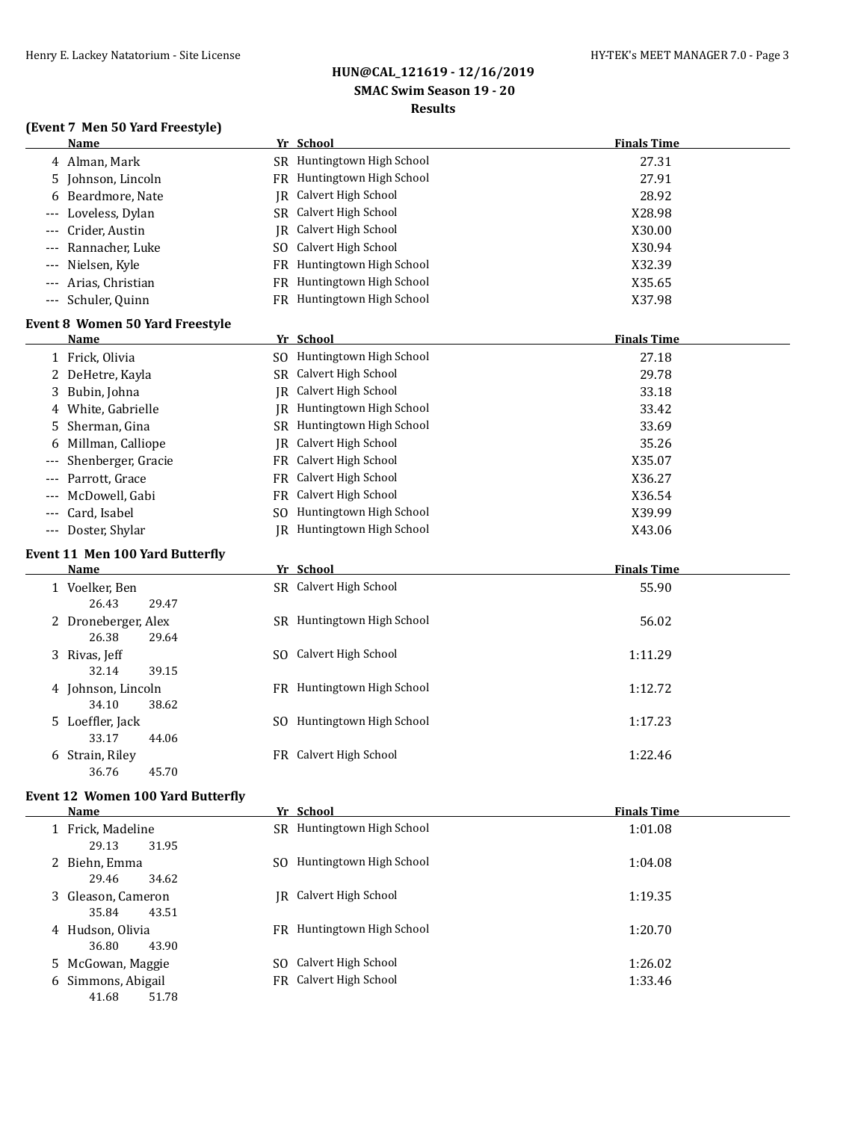# **HUN@CAL\_121619 - 12/16/2019**

# **SMAC Swim Season 19 - 20**

#### **Results**

|  |  |  |  | (Event 7 Men 50 Yard Freestyle) |  |
|--|--|--|--|---------------------------------|--|
|--|--|--|--|---------------------------------|--|

|       | Name                                     |     | Yr School                  | <b>Finals Time</b> |
|-------|------------------------------------------|-----|----------------------------|--------------------|
|       | 4 Alman, Mark                            |     | SR Huntingtown High School | 27.31              |
| 5     | Johnson, Lincoln                         |     | FR Huntingtown High School | 27.91              |
|       | 6 Beardmore, Nate                        |     | JR Calvert High School     | 28.92              |
|       | Loveless, Dylan                          |     | SR Calvert High School     | X28.98             |
|       | Crider, Austin                           |     | JR Calvert High School     | X30.00             |
|       | Rannacher, Luke                          |     | SO Calvert High School     | X30.94             |
|       | Nielsen, Kyle                            |     | FR Huntingtown High School | X32.39             |
|       | Arias, Christian                         |     | FR Huntingtown High School | X35.65             |
| $---$ | Schuler, Quinn                           |     | FR Huntingtown High School | X37.98             |
|       | <b>Event 8 Women 50 Yard Freestyle</b>   |     |                            |                    |
|       | Name                                     |     | Yr School                  | <b>Finals Time</b> |
|       | 1 Frick, Olivia                          |     | SO Huntingtown High School | 27.18              |
|       | 2 DeHetre, Kayla                         |     | SR Calvert High School     | 29.78              |
|       | 3 Bubin, Johna                           | IR  | Calvert High School        | 33.18              |
|       | 4 White, Gabrielle                       |     | JR Huntingtown High School | 33.42              |
| 5     | Sherman, Gina                            |     | SR Huntingtown High School | 33.69              |
| 6     | Millman, Calliope                        | IR  | Calvert High School        | 35.26              |
|       | Shenberger, Gracie                       |     | FR Calvert High School     | X35.07             |
|       | Parrott, Grace                           |     | FR Calvert High School     | X36.27             |
|       | McDowell, Gabi                           | FR  | Calvert High School        | X36.54             |
|       | Card, Isabel                             | SO. | Huntingtown High School    | X39.99             |
|       | --- Doster, Shylar                       |     | JR Huntingtown High School | X43.06             |
|       | Event 11 Men 100 Yard Butterfly          |     |                            |                    |
|       | Name                                     |     | Yr School                  | <b>Finals Time</b> |
|       | 1 Voelker, Ben                           |     | SR Calvert High School     | 55.90              |
|       | 26.43<br>29.47                           |     |                            |                    |
|       | 2 Droneberger, Alex                      |     | SR Huntingtown High School | 56.02              |
|       | 26.38<br>29.64                           |     |                            |                    |
|       | 3 Rivas, Jeff                            |     | SO Calvert High School     | 1:11.29            |
|       | 32.14<br>39.15                           |     |                            |                    |
|       | 4 Johnson, Lincoln                       |     | FR Huntingtown High School | 1:12.72            |
|       | 34.10<br>38.62                           |     |                            |                    |
|       | 5 Loeffler, Jack                         |     | SO Huntingtown High School | 1:17.23            |
|       | 33.17<br>44.06                           |     |                            |                    |
|       | 6 Strain, Riley                          |     | FR Calvert High School     | 1:22.46            |
|       | 45.70<br>36.76                           |     |                            |                    |
|       | <b>Event 12 Women 100 Yard Butterfly</b> |     |                            |                    |
|       | Name                                     |     | Yr School                  | <b>Finals Time</b> |
|       | 1 Frick, Madeline                        |     | SR Huntingtown High School | 1:01.08            |
|       | 29.13<br>31.95                           |     |                            |                    |
|       | 2 Biehn, Emma                            |     | SO Huntingtown High School | 1:04.08            |
|       | 29.46<br>34.62                           |     |                            |                    |
|       | 3 Gleason, Cameron                       |     | JR Calvert High School     | 1:19.35            |
|       | 35.84<br>43.51                           |     |                            |                    |
|       | 4 Hudson, Olivia                         |     | FR Huntingtown High School | 1:20.70            |
|       | 36.80<br>43.90                           |     |                            |                    |
|       | 5 McGowan, Maggie                        |     | SO Calvert High School     | 1:26.02            |
|       | 6 Simmons, Abigail                       |     | FR Calvert High School     | 1:33.46            |
|       | 41.68<br>51.78                           |     |                            |                    |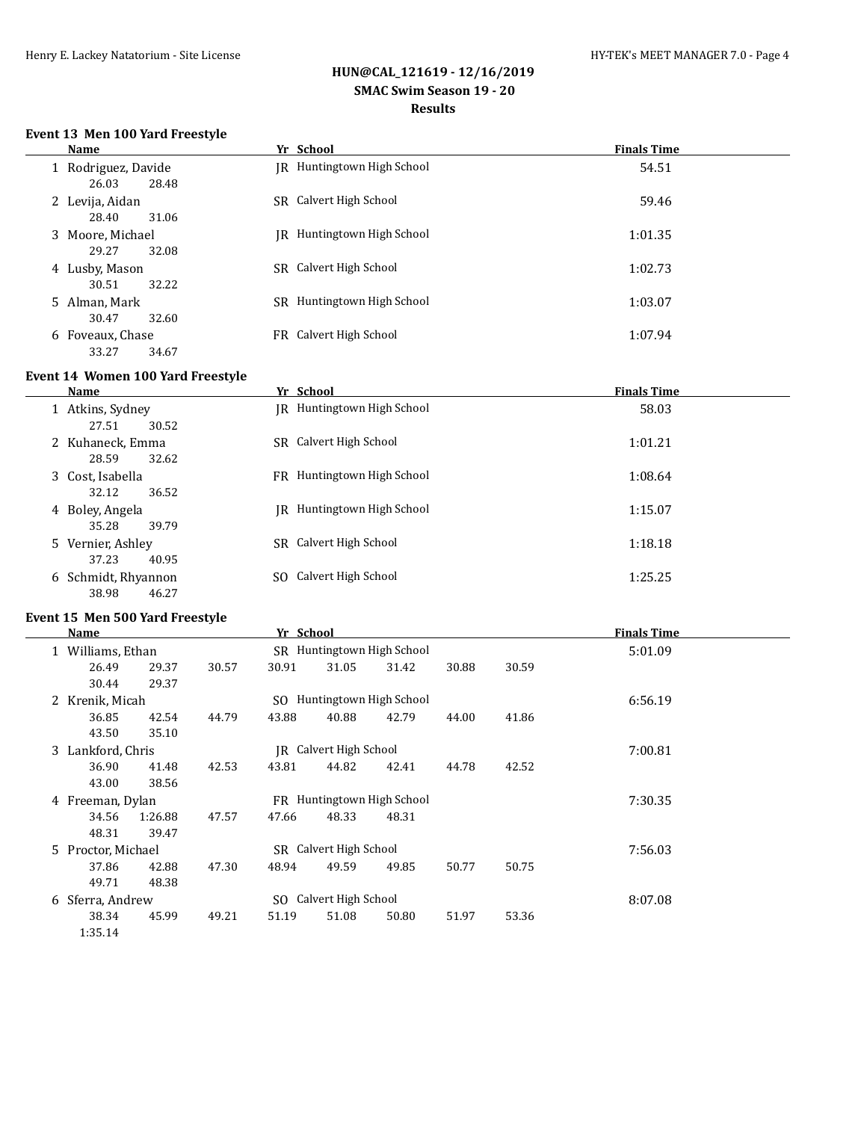## **HUN@CAL\_121619 - 12/16/2019 SMAC Swim Season 19 - 20 Results**

#### **Event 13 Men 100 Yard Freestyle**

| Name                                  | Yr School                     | <b>Finals Time</b> |
|---------------------------------------|-------------------------------|--------------------|
| 1 Rodriguez, Davide<br>26.03<br>28.48 | IR Huntingtown High School    | 54.51              |
| 2 Levija, Aidan<br>28.40<br>31.06     | SR Calvert High School        | 59.46              |
| 3 Moore, Michael<br>29.27<br>32.08    | Huntingtown High School<br>IR | 1:01.35            |
| 4 Lusby, Mason<br>32.22<br>30.51      | SR Calvert High School        | 1:02.73            |
| 5 Alman, Mark<br>30.47<br>32.60       | SR Huntingtown High School    | 1:03.07            |
| 6 Foveaux, Chase<br>33.27<br>34.67    | FR Calvert High School        | 1:07.94            |

#### **Event 14 Women 100 Yard Freestyle**

L.

| <b>Name</b>                           | Yr School                         | <b>Finals Time</b> |
|---------------------------------------|-----------------------------------|--------------------|
| 1 Atkins, Sydney<br>27.51<br>30.52    | <b>IR</b> Huntingtown High School | 58.03              |
| 2 Kuhaneck, Emma<br>32.62<br>28.59    | SR Calvert High School            | 1:01.21            |
| 3 Cost, Isabella<br>36.52<br>32.12    | FR Huntingtown High School        | 1:08.64            |
| 4 Boley, Angela<br>35.28<br>39.79     | IR Huntingtown High School        | 1:15.07            |
| 5 Vernier, Ashley<br>37.23<br>40.95   | SR Calvert High School            | 1:18.18            |
| 6 Schmidt, Rhyannon<br>38.98<br>46.27 | SO Calvert High School            | 1:25.25            |

#### **Event 15 Men 500 Yard Freestyle**

|   | Name               |         |       | Yr School |                            |                            |       |         | <b>Finals Time</b> |  |
|---|--------------------|---------|-------|-----------|----------------------------|----------------------------|-------|---------|--------------------|--|
|   | 1 Williams, Ethan  |         |       |           |                            | SR Huntingtown High School |       | 5:01.09 |                    |  |
|   | 26.49              | 29.37   | 30.57 | 30.91     | 31.05                      | 31.42                      | 30.88 | 30.59   |                    |  |
|   | 30.44              | 29.37   |       |           |                            |                            |       |         |                    |  |
|   | 2 Krenik, Micah    |         |       | SO.       |                            | Huntingtown High School    |       |         | 6:56.19            |  |
|   | 36.85              | 42.54   | 44.79 | 43.88     | 40.88                      | 42.79                      | 44.00 | 41.86   |                    |  |
|   | 43.50              | 35.10   |       |           |                            |                            |       |         |                    |  |
|   | 3 Lankford, Chris  |         |       |           | JR Calvert High School     |                            |       |         | 7:00.81            |  |
|   | 36.90              | 41.48   | 42.53 | 43.81     | 44.82                      | 42.41                      | 44.78 | 42.52   |                    |  |
|   | 43.00              | 38.56   |       |           |                            |                            |       |         |                    |  |
|   | 4 Freeman, Dylan   |         |       |           | FR Huntingtown High School |                            |       |         | 7:30.35            |  |
|   | 34.56              | 1:26.88 | 47.57 | 47.66     | 48.33                      | 48.31                      |       |         |                    |  |
|   | 48.31              | 39.47   |       |           |                            |                            |       |         |                    |  |
|   | 5 Proctor, Michael |         |       |           | SR Calvert High School     |                            |       |         | 7:56.03            |  |
|   | 37.86              | 42.88   | 47.30 | 48.94     | 49.59                      | 49.85                      | 50.77 | 50.75   |                    |  |
|   | 49.71              | 48.38   |       |           |                            |                            |       |         |                    |  |
| 6 | Sferra, Andrew     |         |       |           | SO Calvert High School     |                            |       |         | 8:07.08            |  |
|   | 38.34              | 45.99   | 49.21 | 51.19     | 51.08                      | 50.80                      | 51.97 | 53.36   |                    |  |
|   | 1:35.14            |         |       |           |                            |                            |       |         |                    |  |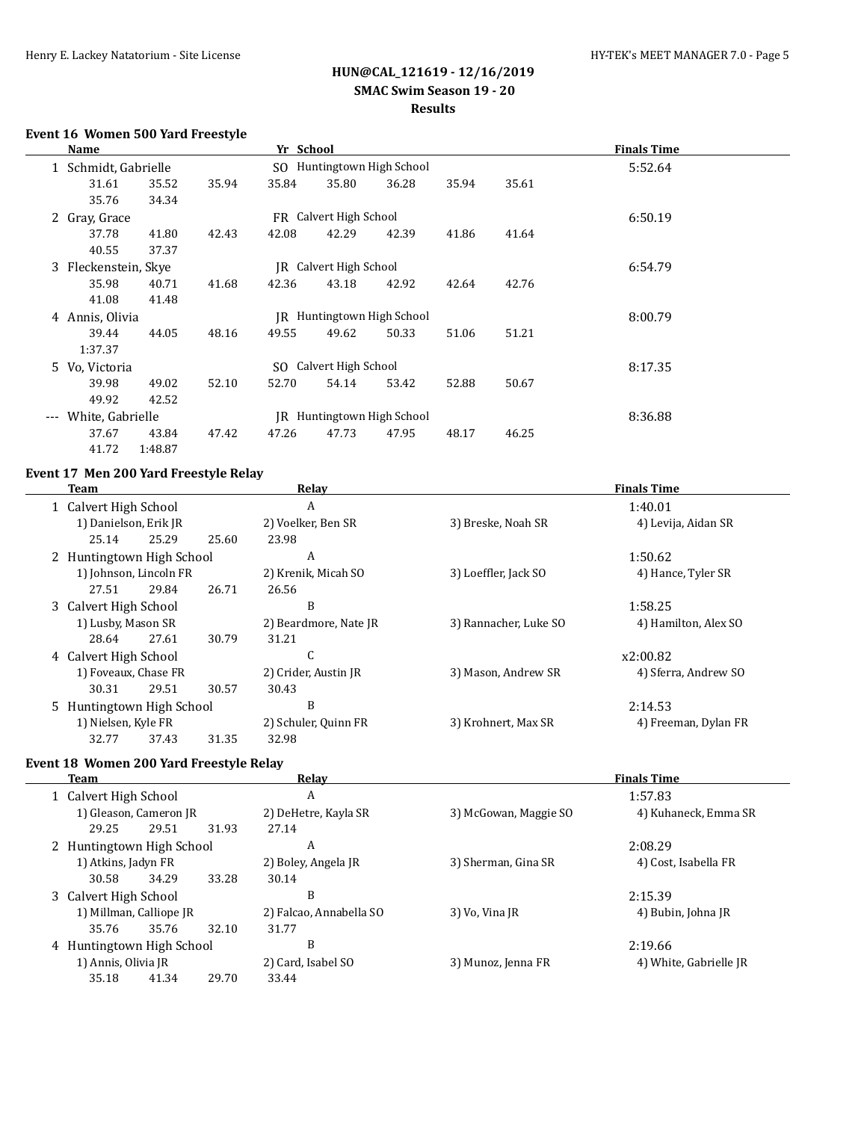### **HUN@CAL\_121619 - 12/16/2019 SMAC Swim Season 19 - 20 Results**

#### **Event 16 Women 500 Yard Freestyle**

|                     | Name                 |         |       | Yr School |                        |                            |       |         | <b>Finals Time</b> |
|---------------------|----------------------|---------|-------|-----------|------------------------|----------------------------|-------|---------|--------------------|
|                     | 1 Schmidt, Gabrielle |         |       |           |                        | SO Huntingtown High School |       | 5:52.64 |                    |
|                     | 31.61                | 35.52   | 35.94 | 35.84     | 35.80                  | 36.28                      | 35.94 | 35.61   |                    |
|                     | 35.76                | 34.34   |       |           |                        |                            |       |         |                    |
|                     | 2 Gray, Grace        |         |       |           | FR Calvert High School |                            |       |         | 6:50.19            |
|                     | 37.78                | 41.80   | 42.43 | 42.08     | 42.29                  | 42.39                      | 41.86 | 41.64   |                    |
|                     | 40.55                | 37.37   |       |           |                        |                            |       |         |                    |
|                     | 3 Fleckenstein, Skye |         |       |           | JR Calvert High School |                            |       |         | 6:54.79            |
|                     | 35.98                | 40.71   | 41.68 | 42.36     | 43.18                  | 42.92                      | 42.64 | 42.76   |                    |
|                     | 41.08                | 41.48   |       |           |                        |                            |       |         |                    |
|                     | 4 Annis, Olivia      |         |       |           |                        | JR Huntingtown High School |       |         | 8:00.79            |
|                     | 39.44                | 44.05   | 48.16 | 49.55     | 49.62                  | 50.33                      | 51.06 | 51.21   |                    |
|                     | 1:37.37              |         |       |           |                        |                            |       |         |                    |
|                     | 5 Vo, Victoria       |         |       |           | SO Calvert High School |                            |       |         | 8:17.35            |
|                     | 39.98                | 49.02   | 52.10 | 52.70     | 54.14                  | 53.42                      | 52.88 | 50.67   |                    |
|                     | 49.92                | 42.52   |       |           |                        |                            |       |         |                    |
| $\qquad \qquad - -$ | White, Gabrielle     |         |       |           |                        | JR Huntingtown High School |       |         | 8:36.88            |
|                     | 37.67                | 43.84   | 47.42 | 47.26     | 47.73                  | 47.95                      | 48.17 | 46.25   |                    |
|                     | 41.72                | 1:48.87 |       |           |                        |                            |       |         |                    |

#### **Event 17 Men 200 Yard Freestyle Relay**

| Team                      |       |       | Relay                 | <b>Finals Time</b>    |                      |  |  |
|---------------------------|-------|-------|-----------------------|-----------------------|----------------------|--|--|
| 1 Calvert High School     |       | A     |                       |                       | 1:40.01              |  |  |
| 1) Danielson, Erik JR     |       |       | 2) Voelker, Ben SR    | 3) Breske, Noah SR    | 4) Levija, Aidan SR  |  |  |
| 25.14                     | 25.29 | 25.60 | 23.98                 |                       |                      |  |  |
| 2 Huntingtown High School |       |       | A                     |                       | 1:50.62              |  |  |
| 1) Johnson, Lincoln FR    |       |       | 2) Krenik, Micah SO   | 3) Loeffler, Jack SO  | 4) Hance, Tyler SR   |  |  |
| 27.51                     | 29.84 | 26.71 | 26.56                 |                       |                      |  |  |
| 3 Calvert High School     |       |       | B                     |                       | 1:58.25              |  |  |
| 1) Lusby, Mason SR        |       |       | 2) Beardmore, Nate JR | 3) Rannacher, Luke SO | 4) Hamilton, Alex SO |  |  |
| 28.64                     | 27.61 | 30.79 | 31.21                 |                       |                      |  |  |
| 4 Calvert High School     |       |       | C                     |                       | x2:00.82             |  |  |
| 1) Foveaux, Chase FR      |       |       | 2) Crider, Austin JR  | 3) Mason, Andrew SR   | 4) Sferra, Andrew SO |  |  |
| 30.31                     | 29.51 | 30.57 | 30.43                 |                       |                      |  |  |
| 5 Huntingtown High School |       |       | B                     |                       | 2:14.53              |  |  |
| 1) Nielsen, Kyle FR       |       |       | 2) Schuler, Quinn FR  | 3) Krohnert, Max SR   | 4) Freeman, Dylan FR |  |  |
| 32.77                     | 37.43 | 31.35 | 32.98                 |                       |                      |  |  |

#### **Event 18 Women 200 Yard Freestyle Relay**

| Team                      | <b>Relay</b>            | <b>Finals Time</b><br>1:57.83 |                        |  |
|---------------------------|-------------------------|-------------------------------|------------------------|--|
| 1 Calvert High School     | A                       |                               |                        |  |
| 1) Gleason, Cameron JR    | 2) DeHetre, Kayla SR    | 3) McGowan, Maggie SO         | 4) Kuhaneck, Emma SR   |  |
| 29.25<br>29.51            | 27.14<br>31.93          |                               |                        |  |
| 2 Huntingtown High School | A                       |                               | 2:08.29                |  |
| 1) Atkins, Jadyn FR       | 2) Boley, Angela JR     | 3) Sherman, Gina SR           | 4) Cost, Isabella FR   |  |
| 34.29<br>30.58            | 33.28<br>30.14          |                               |                        |  |
| 3 Calvert High School     | B                       |                               | 2:15.39                |  |
| 1) Millman, Calliope JR   | 2) Falcao, Annabella SO | 3) Vo, Vina JR                | 4) Bubin, Johna JR     |  |
| 35.76<br>35.76            | 32.10<br>31.77          |                               |                        |  |
| 4 Huntingtown High School | B                       |                               | 2:19.66                |  |
| 1) Annis, Olivia JR       | 2) Card, Isabel SO      | 3) Munoz, Jenna FR            | 4) White, Gabrielle JR |  |
| 35.18<br>41.34            | 29.70<br>33.44          |                               |                        |  |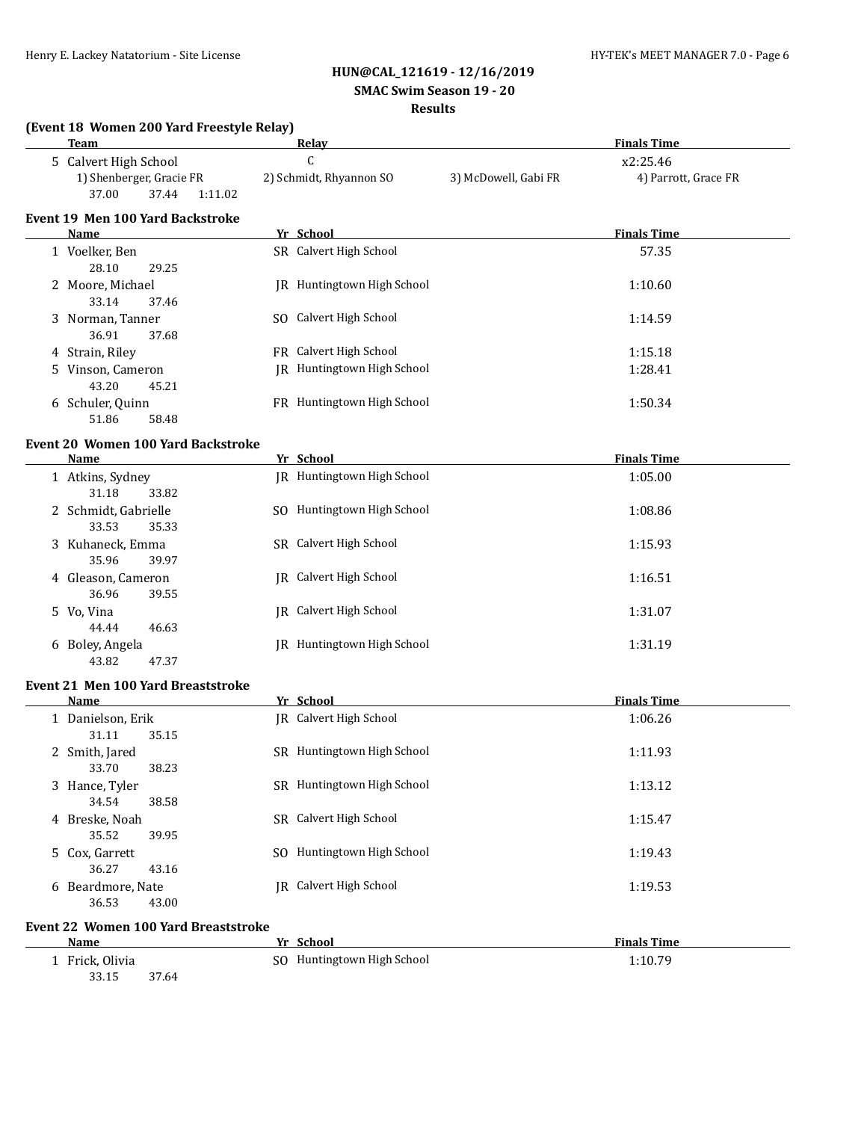**(Event 18 Women 200 Yard Freestyle Relay)**

#### **HUN@CAL\_121619 - 12/16/2019**

#### **SMAC Swim Season 19 - 20**

#### **Results**

| <b>Team</b>                                           | Relay                         |  | <b>Finals Time</b>   |                      |  |
|-------------------------------------------------------|-------------------------------|--|----------------------|----------------------|--|
| 5 Calvert High School                                 | $\mathsf{C}$                  |  |                      | x2:25.46             |  |
| 1) Shenberger, Gracie FR<br>37.00<br>37.44<br>1:11.02 | 2) Schmidt, Rhyannon SO       |  | 3) McDowell, Gabi FR | 4) Parrott, Grace FR |  |
| <b>Event 19 Men 100 Yard Backstroke</b>               |                               |  |                      |                      |  |
| Name                                                  | Yr School                     |  |                      | <b>Finals Time</b>   |  |
| 1 Voelker, Ben<br>28.10<br>29.25                      | SR Calvert High School        |  |                      | 57.35                |  |
| 2 Moore, Michael<br>33.14<br>37.46                    | JR Huntingtown High School    |  |                      | 1:10.60              |  |
| 3 Norman, Tanner<br>36.91<br>37.68                    | SO Calvert High School        |  |                      | 1:14.59              |  |
| 4 Strain, Riley                                       | FR Calvert High School        |  |                      | 1:15.18              |  |
| 5 Vinson, Cameron<br>43.20<br>45.21                   | JR Huntingtown High School    |  |                      | 1:28.41              |  |
| 6 Schuler, Quinn<br>51.86<br>58.48                    | FR Huntingtown High School    |  |                      | 1:50.34              |  |
| <b>Event 20 Women 100 Yard Backstroke</b>             |                               |  |                      |                      |  |
| Name                                                  | Yr School                     |  |                      | <b>Finals Time</b>   |  |
| 1 Atkins, Sydney<br>31.18<br>33.82                    | JR Huntingtown High School    |  |                      | 1:05.00              |  |
| 2 Schmidt, Gabrielle<br>33.53<br>35.33                | SO Huntingtown High School    |  |                      | 1:08.86              |  |
| 3 Kuhaneck, Emma<br>35.96<br>39.97                    | SR Calvert High School        |  |                      | 1:15.93              |  |
| 4 Gleason, Cameron<br>36.96<br>39.55                  | JR Calvert High School        |  |                      | 1:16.51              |  |
| 5 Vo, Vina<br>44.44<br>46.63                          | JR Calvert High School        |  |                      | 1:31.07              |  |
| 6 Boley, Angela<br>43.82<br>47.37                     | JR Huntingtown High School    |  |                      | 1:31.19              |  |
| <b>Event 21 Men 100 Yard Breaststroke</b>             |                               |  |                      |                      |  |
| Name                                                  | Yr School                     |  |                      | <b>Finals Time</b>   |  |
| 1 Danielson, Erik<br>31.11<br>35.15                   | JR Calvert High School        |  |                      | 1:06.26              |  |
| 2 Smith, Jared<br>38.23<br>33.70                      | SR Huntingtown High School    |  |                      | 1:11.93              |  |
| 3 Hance, Tyler<br>34.54<br>38.58                      | SR Huntingtown High School    |  |                      | 1:13.12              |  |
| 4 Breske, Noah<br>35.52<br>39.95                      | SR Calvert High School        |  |                      | 1:15.47              |  |
| 5 Cox, Garrett<br>36.27<br>43.16                      | SO Huntingtown High School    |  |                      | 1:19.43              |  |
| 6 Beardmore, Nate<br>36.53<br>43.00                   | <b>IR</b> Calvert High School |  |                      | 1:19.53              |  |
| <b>Event 22 Women 100 Yard Breaststroke</b>           |                               |  |                      |                      |  |
| Name                                                  | Yr School                     |  |                      | <b>Finals Time</b>   |  |
| 1 Frick, Olivia<br>33.15<br>37.64                     | SO Huntingtown High School    |  |                      | 1:10.79              |  |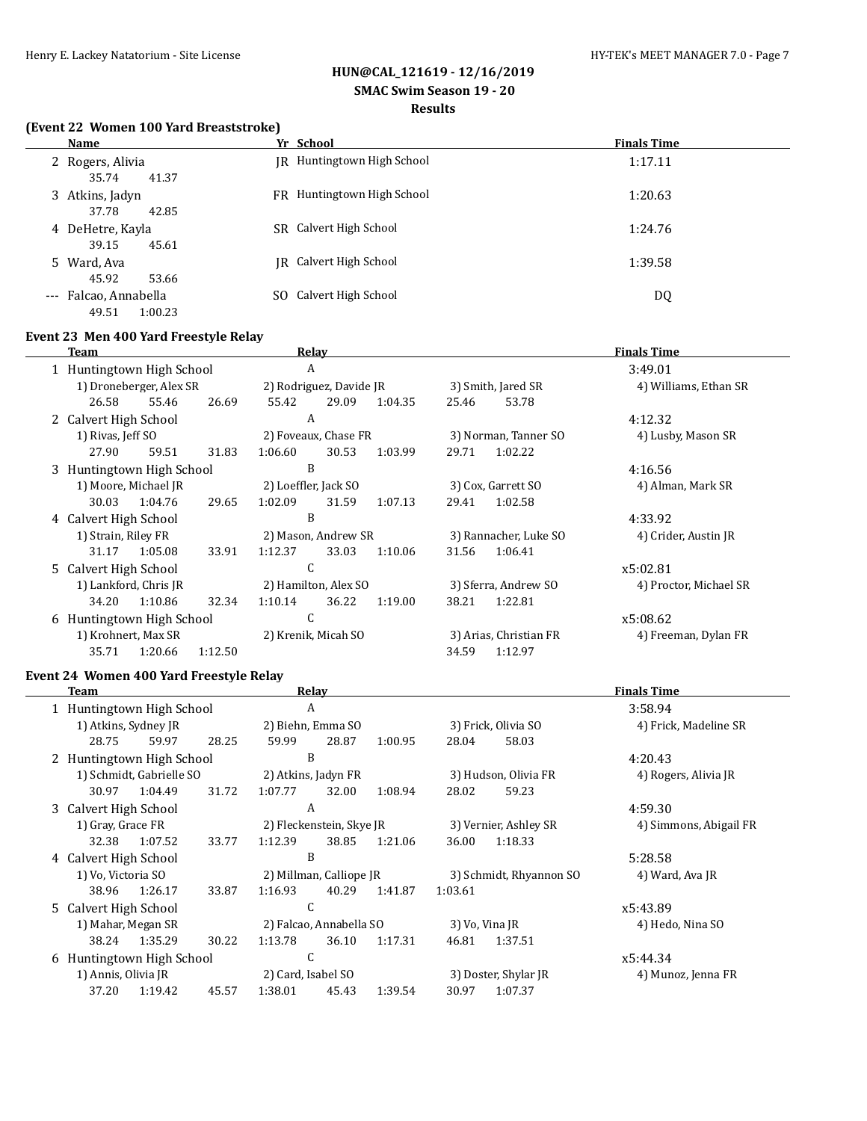# **HUN@CAL\_121619 - 12/16/2019**

# **SMAC Swim Season 19 - 20**

# **Results**

#### **(Event 22 Women 100 Yard Breaststroke)**

| <b>Name</b>                               | Yr School                  | <b>Finals Time</b> |
|-------------------------------------------|----------------------------|--------------------|
| 2 Rogers, Alivia<br>35.74<br>41.37        | JR Huntingtown High School | 1:17.11            |
| 3 Atkins, Jadyn<br>37.78<br>42.85         | FR Huntingtown High School | 1:20.63            |
| 4 DeHetre, Kayla<br>39.15<br>45.61        | SR Calvert High School     | 1:24.76            |
| 5 Ward, Ava<br>45.92<br>53.66             | IR Calvert High School     | 1:39.58            |
| --- Falcao, Annabella<br>1:00.23<br>49.51 | Calvert High School<br>SO. | DQ                 |

## **Event 23 Men 400 Yard Freestyle Relay**

|                           | Team                       |                         |                      |                         | Relav               |                       |                      |                        | <b>Finals Time</b>    |
|---------------------------|----------------------------|-------------------------|----------------------|-------------------------|---------------------|-----------------------|----------------------|------------------------|-----------------------|
| 1 Huntingtown High School |                            |                         |                      | A                       |                     |                       |                      |                        | 3:49.01               |
|                           |                            | 1) Droneberger, Alex SR |                      | 2) Rodriguez, Davide JR |                     |                       | 3) Smith, Jared SR   |                        | 4) Williams, Ethan SR |
|                           | 26.58                      | 55.46                   | 26.69                | 55.42                   | 29.09               | 1:04.35               | 25.46                | 53.78                  |                       |
|                           | 2 Calvert High School      |                         |                      | A                       |                     |                       |                      |                        | 4:12.32               |
|                           | 1) Rivas, Jeff SO          |                         |                      | 2) Foveaux, Chase FR    |                     |                       | 3) Norman, Tanner SO |                        | 4) Lusby, Mason SR    |
|                           | 27.90                      | 59.51                   | 31.83                | 1:06.60                 | 30.53               | 1:03.99               | 29.71                | 1:02.22                |                       |
|                           | 3 Huntingtown High School  |                         |                      | B                       |                     |                       |                      |                        | 4:16.56               |
|                           | 1) Moore, Michael JR       |                         |                      | 2) Loeffler, Jack SO    |                     | 3) Cox, Garrett SO    |                      | 4) Alman, Mark SR      |                       |
|                           | 30.03                      | 1:04.76                 | 29.65                | 1:02.09                 | 31.59               | 1:07.13               | 29.41                | 1:02.58                |                       |
|                           | 4 Calvert High School      |                         |                      | B                       |                     |                       |                      |                        | 4:33.92               |
|                           | 1) Strain, Riley FR        |                         |                      | 2) Mason, Andrew SR     |                     | 3) Rannacher, Luke SO |                      | 4) Crider, Austin JR   |                       |
|                           | 31.17                      | 1:05.08                 | 33.91                | 1:12.37                 | 33.03               | 1:10.06               | 31.56                | 1:06.41                |                       |
|                           | C<br>5 Calvert High School |                         |                      |                         |                     |                       | x5:02.81             |                        |                       |
|                           | 1) Lankford, Chris JR      |                         | 2) Hamilton, Alex SO |                         |                     | 3) Sferra, Andrew SO  |                      | 4) Proctor, Michael SR |                       |
|                           | 34.20                      | 1:10.86                 | 32.34                | 1:10.14                 | 36.22               | 1:19.00               | 38.21                | 1:22.81                |                       |
|                           | 6 Huntingtown High School  |                         | τ.                   |                         |                     |                       |                      | x5:08.62               |                       |
|                           | 1) Krohnert, Max SR        |                         |                      |                         | 2) Krenik, Micah SO |                       |                      | 3) Arias, Christian FR | 4) Freeman, Dylan FR  |
|                           | 35.71                      | 1:20.66                 | 1:12.50              |                         |                     |                       | 34.59                | 1:12.97                |                       |
|                           |                            |                         |                      |                         |                     |                       |                      |                        |                       |

#### **Event 24 Women 400 Yard Freestyle Relay**

|                           | Team                           |                          |       |                          | Relay |                |                       |                         | <b>Finals Time</b>     |
|---------------------------|--------------------------------|--------------------------|-------|--------------------------|-------|----------------|-----------------------|-------------------------|------------------------|
| 1 Huntingtown High School |                                |                          |       | A                        |       |                |                       |                         | 3:58.94                |
|                           | 1) Atkins, Sydney JR           |                          |       | 2) Biehn, Emma SO        |       |                | 3) Frick, Olivia SO   |                         | 4) Frick, Madeline SR  |
|                           | 28.75                          | 59.97                    | 28.25 | 59.99                    | 28.87 | 1:00.95        | 28.04                 | 58.03                   |                        |
|                           | 2 Huntingtown High School      |                          |       | B                        |       |                |                       |                         | 4:20.43                |
|                           |                                | 1) Schmidt, Gabrielle SO |       | 2) Atkins, Jadyn FR      |       |                | 3) Hudson, Olivia FR  |                         | 4) Rogers, Alivia JR   |
|                           | 30.97                          | 1:04.49                  | 31.72 | 1:07.77                  | 32.00 | 1:08.94        | 28.02                 | 59.23                   |                        |
|                           | 3 Calvert High School          |                          |       | A                        |       |                |                       |                         | 4:59.30                |
|                           | 1) Gray, Grace FR              |                          |       | 2) Fleckenstein, Skye JR |       |                | 3) Vernier, Ashley SR |                         | 4) Simmons, Abigail FR |
|                           | 32.38                          | 1:07.52                  | 33.77 | 1:12.39                  | 38.85 | 1:21.06        | 36.00                 | 1:18.33                 |                        |
|                           | 4 Calvert High School          |                          |       | B                        |       |                |                       |                         | 5:28.58                |
|                           | 1) Vo, Victoria SO             |                          |       | 2) Millman, Calliope JR  |       |                |                       | 3) Schmidt, Rhyannon SO | 4) Ward, Ava JR        |
|                           | 38.96                          | 1:26.17                  | 33.87 | 1:16.93                  | 40.29 | 1:41.87        | 1:03.61               |                         |                        |
|                           | C<br>5 Calvert High School     |                          |       |                          |       |                | x5:43.89              |                         |                        |
|                           | 1) Mahar, Megan SR             |                          |       | 2) Falcao, Annabella SO  |       | 3) Vo, Vina JR |                       | 4) Hedo, Nina SO        |                        |
|                           | 38.24                          | 1:35.29                  | 30.22 | 1:13.78                  | 36.10 | 1:17.31        | 46.81                 | 1:37.51                 |                        |
|                           | C<br>6 Huntingtown High School |                          |       |                          |       | x5:44.34       |                       |                         |                        |
|                           | 1) Annis, Olivia JR            |                          |       | 2) Card, Isabel SO       |       |                |                       | 3) Doster, Shylar JR    | 4) Munoz, Jenna FR     |
|                           | 37.20                          | 1:19.42                  | 45.57 | 1:38.01                  | 45.43 | 1:39.54        | 30.97                 | 1:07.37                 |                        |